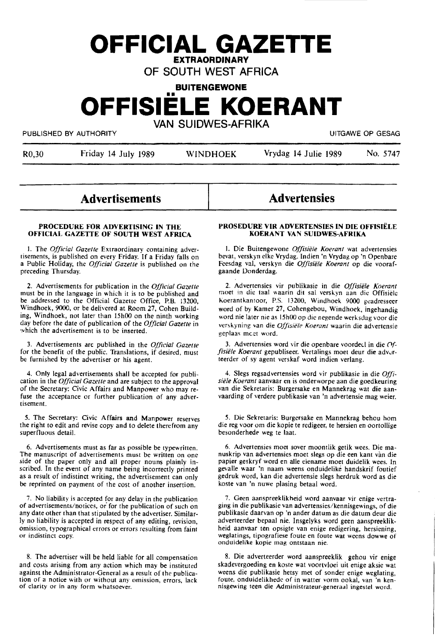# **OFFICIAL GAZETTE EXTRAORDINARY**

OF SOUTH WEST AFRICA

**BUITENGEWONE** 

# **OFFISIELE KOERANT**  VAN SUIDWES-AFRIKA

PUBLISHED BY AUTHORITY **EXECUTE A SECURE ASSESSED ASSESSED.** THE MUSLISHED BY AUTHORITY

R0,30 Friday 14 July 1989 WINDHOEK Vrydag 14 Julie 1989 No. 5747

# **Advertisements**

## **PROCEDURE FOR ADVERTISING IN THE OFFICIAL GAZETTE OF SOUTH WEST AFRICA**

J. The *Official Gazelle* Extraordinary containing advertisements, is published on every Friday. If a Friday falls on a Public Holiday, the *Official Gazelle* is published on the preceding Thursday.

2. Advertisements for publication in the *Official Gazelle*  must be in the language in which it is to be published and be addressed to the Official Gazette Office, P.B. 13200, Windhoek, 9000, or be delivered at Room 27, Cohen Build**ing,** Windhoek, not later than 15h00 on the ninth working day before the date of publication of the *Official Gazelle* in which the advertisement is to be inserted.

3. Advertisements arc published in the *Official Gazelle*  for the benefit of the public. Translations, if desired, must be furnished by the advertiser or his agent.

4. Only legal advertisements shall be accepted for publication in the *Official Gazette* and are subject to the approval of the Secretary: Civic Affairs and Manpower who may refuse the acceptance or further publication of any advertisement.

*S.* The Secretary: Civic **Affairs** and **Manpower** reserves the right to edit and revise copy and to delete therefrom any superfluous detail.

6. Advertisements must as far as possible be typewritten. The manuscript of advertisements must be written on one side of the paper only and all proper nouns plainly inscribed. In the event of any name being incorrectly printed as a result of indistinct writing, the advertisement can only be reprinted on payment of the cost of another insertion.

7. No liability is accepted for any delay in the publication of advertisements/notices, *oi* for the publication of such on any date other than that stipulated by the advertiser. Similarly no liability is accepted in respect of any editing, revision, omission, typographical errors or errors resulting from faint or indistinct copy.

8. The advertiser will be held liable for all compensation and costs arising from any action which may be instituted against the Administrator-General as a result of the publication of a notice with or without any omission, errors, lack of clarity or in any form whatsoever.

# **Advertensies**

## **PROSEDURE VIK ADVERTENSIES IN DIE OFFISIELE KOERANT VAN SUIDWES-AFRIKA**

I. Die Buitengewone *Offisiele Koeranr* wat advertensies bevat, verskyn elke Vrydag. Indien 'n Vrydag op 'n Openbare Feesdag val, verskyn die *Offisie/e Koerant* op die voorafgaande Donderdag.

2. Advertensies vir publikasie in die *Offisie/e Koerant*  moet in die taal waarin dit sal verskyn aan die Offisiele Koerantkantoor, P.S. 13200, Windhoek 9000 geadresseer word of by Kamer 27, Cohengebou, Windhoek, ingehandig word nie later nie as 15h00 op die negende werksdag voor die verskyning van die *Offisiële Koerant* waarin die advertensie geplaas meet word.

3. Advertensies word vir die openbare voordeel in die  $O_f$ fisiële Koerant gepubliseer. Vertalings moet deur die adverteerder of sy agent verskaf word indien verlang.

4. Slegs regsadvertensies word vir publikasie in die Offi*sie/e Koerant* aanvaar en is onderworpe aan die goedkeuring van die Sekretaris: Burgersake en Mannekrag wat die aanvaarding of verdere publikasie van 'n advertensie mag weier.

*S.* Die Sekretaris: Burgersake en Mannekrag behou horn die reg voor om die kopie te redigeer, te hersien en oortollige besonderhede weg te laat.

6. Advertensies moet sover moontlik getik wees. Die ma- nuskrip van advertensies moet slegs op die een kant van die papier geskryf word en alle eiename moet duidelik wees. In gevalle waar 'n naam weens onduidelike handskrif foutief gedruk word, kan die advertensie slegs herdruk word as die koste van 'n nuwe plasing betaal word.

7. Geen aanspreeklikheid word aanvaar vir enige vertraging in die publikasie van advertensies/kennisgewings, of die publikasie daarvan op 'n ander datum as die datum deur die adverteerder bepaal nie. Insgelyks word geen aanspreeklikheid aanvaar ten opsigte van enige redigering, hersiening, weglatings, tipografiese foute en foute wat weens dowwe of onduidelike kopie mag ontstaan nie.

8. Die adverteerder word aanspreeklik gehou vir enige skadevergoeding en koste wat voortvloei uit enige aksie wat weens die publikasie hetsy met of sonder enige weglating, foute, onduidelikhede of in watter vorm ookal, van 'n kennisgewing teen die Administrateur-generaal ingestel word.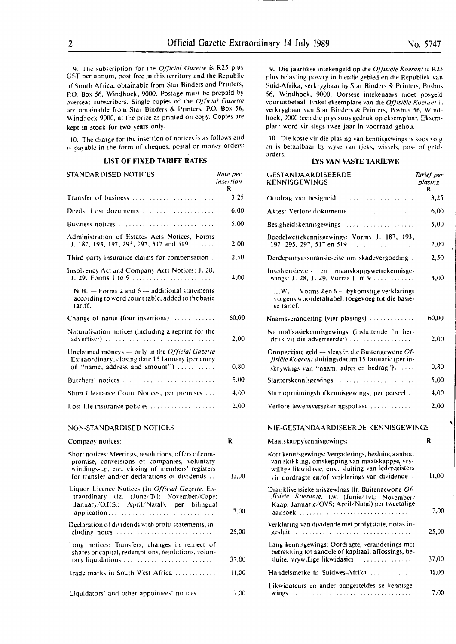9. The subscription for the *Official Gazette* is R25 plus GST per annum, post free in this territory and the Republic of South Africa, obtainable from Star Binders and Printers, P.O. Box 56, Windhoek, 9000. Postage must be prepaid by 0\'erseas subscribers. Single copies of the *Official Gazerre*  are obtainable from Star Binders & Printers, P.O. Box 56, Windhoek 9000, at the price as printed on copy. Copies are kept in stock for two years only.

IO. The charge for the insertion of notices is as follows and is payable in the form of cheques, postal or money orders:

# **LIST OF FIXED TARIFF RATES**

| STANDARDISED NOTICES                                                                                                                                                                                      | Rate per<br>insertion<br>R |
|-----------------------------------------------------------------------------------------------------------------------------------------------------------------------------------------------------------|----------------------------|
| Transfer of business                                                                                                                                                                                      | 3,25                       |
| Deeds: Lost documents                                                                                                                                                                                     | 6,00                       |
| Business notices $\ldots \ldots \ldots \ldots \ldots \ldots \ldots$                                                                                                                                       | 5.00                       |
| Administration of Estates Acts Notices, Forms<br>J. 187, 193, 197, 295, 297, 517 and 519                                                                                                                  | 2,00                       |
| Third party insurance claims for compensation.                                                                                                                                                            | 2,50                       |
| Insolvency Act and Company Acts Notices: J. 28,<br>J. 29. Forms I to 9                                                                                                                                    | 4,00                       |
| $N.B.$ - Forms 2 and $6$ - additional statements<br>according to word count table, added to the basic<br>tariff.                                                                                          |                            |
| Change of name (four insertions)                                                                                                                                                                          | 60,00                      |
| Naturalisation notices (including a reprint for the                                                                                                                                                       | 2,00                       |
| Unclaimed moneys - only in the Official Gazette<br>Extraordinary, closing date 15 January (per entry<br>of "name, address and amount")                                                                    | 0,80                       |
| Butchers' notices $\ldots$ , , , , , , ,                                                                                                                                                                  | 5,00                       |
| Slum Clearance Court Notices, per premises                                                                                                                                                                | 4,00                       |
| Lost life insurance policies                                                                                                                                                                              | 2,00                       |
| NON-STANDARDISED NOTICES                                                                                                                                                                                  |                            |
| Company notices:                                                                                                                                                                                          | R                          |
| Short notices: Meetings, resolutions, offers of com-<br>promise, conversions of companies, voluntary<br>windings-up, etc.: closing of members' registers<br>for transfer and/or declarations of dividends | 11,00                      |
| Liquor Licence Notices (In Official Gazette, Ex-<br>traordinary viz. (June/Tvl; November/Cape;<br>January/O.F.S.; April/Natal), per bilingual<br>application                                              | 7,00                       |
| Declaration of dividends with profit statements, in-<br>cluding notes                                                                                                                                     | 25.00                      |
| Long notices: Transfers, changes in respect of<br>shares or capital, redemptions, resolutions, volun-<br>tary liquidations                                                                                | 37,00                      |
| Trade marks in South West Africa                                                                                                                                                                          | 11,00                      |
|                                                                                                                                                                                                           |                            |

Liquidators' and other appointees' notices .....

9. Die jaarlikse intekengeld op die *Offisiële Koerant* is R25 plus belasting posvry in hierdie gebied en die Republiek van Suid-Afrika, verkrygbaar by Star Binders & Printers, Posbus 56, Windhoek, 9000. Oorsese imekenaars moet posgeld vooruitbetaal. Enkel eksemplare van die *Offisiële Koerant* is verkrygbaar van Star Binders & Printers, Posbus 56, Windhoek, 9000 teen die prys soos gedruk op eksemplaar. Eksemplare word vir slegs twee jaar in voorraad gehou.

10. Die koste vir die plasing van kennisgewings is soos volg en is betaalbaar by wyse van tjeks, wissels, pos- of geldorders:

#### **L\'S VAN VASTE TARIEWE**

| per<br>ion | GESTANDAARDISEERDE<br><b>KENNISGEWINGS</b>                                                                                                                                                                     | Tarief per<br>plasing<br>R |
|------------|----------------------------------------------------------------------------------------------------------------------------------------------------------------------------------------------------------------|----------------------------|
| 3,25       | Oordrag van besigheid                                                                                                                                                                                          | 3,25                       |
| 6,00       | Aktes: Verlore dokumente                                                                                                                                                                                       | 6,00                       |
| 5.00       | Besigheidskennisgewings                                                                                                                                                                                        | 5,00                       |
| 2,00       | Boedelwettekennisgewings: Vorms J. 187, 193,<br>197, 295, 297, 517 en 519                                                                                                                                      | 2,00                       |
| 2,50       | Derdepartyassuransie-eise om skadevergoeding.                                                                                                                                                                  | 2,50                       |
| $^{4.00}$  | Insolvensiewet en<br>maatskappywettekennisge-<br>wings: J. 28, J. 29. Vorms 1 tot 9                                                                                                                            | 4,00                       |
|            | $L.W. - V \text{orms } 2$ en 6 - by komstige verklarings<br>volgens woordetaltabel, toegevoeg tot die basie-<br>se tarief.                                                                                     |                            |
| 0.00       | Naamsverandering (vier plasings)                                                                                                                                                                               | 60,00                      |
| 2,00       | Naturalisasiekennisgewings (insluitende 'n her-<br>druk vir die adverteerder)                                                                                                                                  | 2,00                       |
| 0,80       | Onopgeëiste geld $-$ slegs in die Buitengewone Of-<br>fisiële Koerant sluitingsdatum 15 Januarie (per in-<br>skrywings van "naam, adres en bedrag")                                                            | 0,80                       |
| 5,00       | Slagterskennisgewings                                                                                                                                                                                          | 5.00                       |
| 4.00       | Slumopruimingshofkennisgewings, per perseel                                                                                                                                                                    | 4,00                       |
| 2,00       | Verlore lewensversekeringspolisse                                                                                                                                                                              | 2,00                       |
|            | NIE-GESTANDAARDISEERDE KENNISGEWINGS                                                                                                                                                                           |                            |
|            | Maatskappykennisgewings:                                                                                                                                                                                       | R                          |
| 11,00      | Kort kennisgewings: Vergaderings, besluite, aanbod<br>van skikking, omskepping van maatskappye, vry-<br>willige likwidasie, ens.: sluiting van lederegisters<br>vir oordragte en/of verklarings van dividende. | 11,00                      |
| 7,00       | Dranklisensiekennisgewings (in Buitengewone Of-<br>fisiële Koerante, t.w. (Junie/Tvl.; November/<br>Kaap; Januarie/OVS; April/Natal) per tweetalige<br>aansoek                                                 | 7,00                       |
| 25,00      | Verklaring van dividende met profytstate, notas in-<br>gesluit                                                                                                                                                 | 25,00                      |
| 17,00      | Lang kennisgewings: Oordragte, veranderings met<br>betrekking tot aandele of kapitaal, aflossings, be-<br>sluite, vrywillige likwidasies                                                                       | 37,00                      |
| 11,00      | Handelsmerke in Suidwes-Afrika                                                                                                                                                                                 | 11.00                      |
| 7.00       | Likwidateurs en ander aangesteldes se kennisge-                                                                                                                                                                | 7,00                       |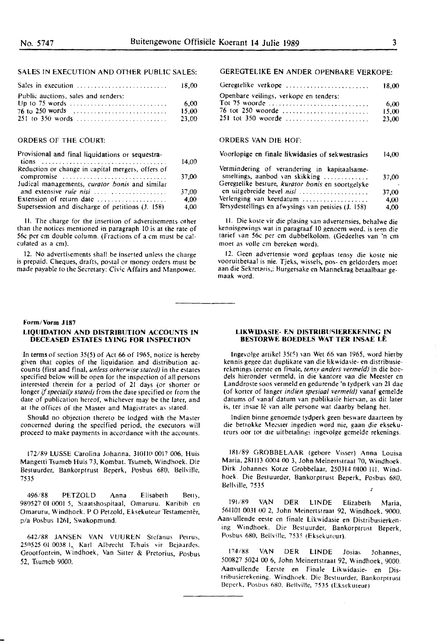# SALES IN EXECUTION AND OTHER PUBLIC SALES:

|                                     | - 18.00 |
|-------------------------------------|---------|
| Public auctions, sales and tenders: |         |
|                                     | 6.00    |
|                                     | 15.00   |
|                                     | 23.00   |

# ORDERS OF THE COURT:

| Provisional and final liquidations or sequestra-  |       |
|---------------------------------------------------|-------|
|                                                   | 14.00 |
| Reduction or change in capital mergers, offers of |       |
| compromise                                        | 37.00 |
| Judical managements, curator bonis and similar    |       |
| and extensive rule nisi                           | 37.00 |
| Extension of return date                          | 4.00  |
| Supersession and discharge of petitions (J. 158)  | 4.00  |
|                                                   |       |

11. The charge for the insertion of advertisements orher than the notices mentioned in paragraph IO is at the rate of 56c per cm double column. (Fractions of a cm must be calculated as a cm).

12. No advertisements shall be inserted unless the charge is prepaid. Chegues, drafts, postal or money orders must be made payable to the Secretary: Civic Affairs and Manpower.

# **Form/Vorm J 187**

#### **LIQUIDATION AND DISTRIBUTION ACCOUNTS IN DECEASED ESTATES LYING FOR INSPECTION**

In terms of section 35(5) of Act 66 of 1965, notice is hereby given that copies of the liguidation and distribution accounts (first and final, *unless otherwise stated)* in the estates specified below will be open for the inspection of all persons interested therein for a period of 21 days (or shorter or longer if *specially stated)* from the date specified or from the date of publication hereof, whichever may be the later, and at the offices of the Master and Magistrates as stated.

Should no objection thereto be lodged with the Master concerned during the specified period, the executors will proceed to make payments in accordance with the accounts.

172/89 LUSSE Carolina Johanna, 31011(1 0017 006, Huis Mangetti Tsumeb Huis 73, Kombat. Tsumeb, Windhoek. Die Bestuurder, Bankorptrust Beperk, Posbus 680, Bellville, 7535

496/88 PETZOLD Anna . Elisabeth Betty, 980527 01 0001 5, Staatshospitaal, Omaruru. Karibib en Omaruru, Windhoek. P O Petzold, Eksekuteur Testamentêr, p/a Posbus 1261, Swakopmund.

642/88 JANSEN VAN VUUREN Stefanus Petrus, 250525 01 0038 1, Karl Albrecht Tehuis vir Bejaardes. Grootfontein, Windhoek, Van Sitter & Pretorius, Posbus 52, Tsumeb 9000.

# GEREGTELIKE EN ANDER OPENBARE VERKOPE:

| Geregtelike verkope                    | 18.00 |
|----------------------------------------|-------|
| Openbare veilings, verkope en tenders: |       |
| Tot 75 woorde                          | 6.00  |
| 76 tot 250 woorde                      | 15.00 |
| 251 tot 350 woorde                     | 23.00 |

# ORDERS VAN DIE HOF:

| Voorlopige en finale likwidasies of sekwestrasies                              | 14,00 |
|--------------------------------------------------------------------------------|-------|
| Vermindering of verandering in kapitaalsame-<br>smeltings, aanbod van skikking | 37,00 |
| Geregtelike besture, kurator bonis en soortgelyke                              | ٠     |
| en uitgebreide bevel nisi                                                      | 37,00 |
| Verlenging van keerdatum                                                       | 4,00  |
| Tersydestellings en afwysings van petisies (J. 158)                            | 4.00  |

11. Die koste vir die plasing van advertensies, behalwe die kennisgewings wat in paragraaf IO genoem word. is teen die tarief van 56c per cm dubbelkolom. (Gedeeltes van 'n cm moet as voile cm bereken word).

12. Geen advertensie word geplaas tensy die koste nie vooruitberaal is nie. Tjeks, wissels, pos- en geldorders moet aan die Sekretaris,: Burgersake en Mannekrag betaalbaar gemaak word.

## **LIKWIDASIE· EN DISTRIBU5IEREKENING IN BESIDRWE BOEDELS WAT TER INSAE LE**

lngevolge artikel 35(~) van Wet 66 van 1965, word hierby kennis gegee dat duplikate van die likwidasie- en distribusierekenings (eerste en finale, *tensy anders vermeld)* in die boedels hieronder vermeld, in die kantore van die Meester en Landdroste soos vermeld en gedurende 'n tydperk van 21 dae (of korter of !anger *indien spesiaal vermeld)* vanaf gemelde datums of vanaf datum van publikasie hiervan, as dit later is, ter insae lê van alle persone wat daarby belang het.

lndien binne genoemde tydperk geen besware daarteen by die betrokke Meester ingedien word nie, gaan die eksekuteurs oor tot die uitbetalings ingevolge gemelde rekenings.

181/89 GROBBELAAR (gebore Visser) Anna Louisa Maria, 2811l3 0004 00 3, John Meinertstraat 70, Windhoek. Dirk Johannes Kotze Grobbelaar, 250314 OIOO Ill. Windhoek. Die Bestuurder, Bankorptrust Beperk, Posbus 680, Bellville, 7535

191/89 VAN DER LINDE Elizabeth Maria, 561l0I 0031 00 2, John Meinertstraat 92, Windhoek, 9000. Aanvullende eeste en finale Likwidasie en Distribusierkening Windhoek. Die Bestuurder, Bankorptrust Beperk, Posbus 680, Bellville, 7535 (Eksekuteur).

174/88 VAN DER LINDE Josias Johannes, 500827 5024 00 6, John Meinertstraa1 92, Windhoek, 9000. Aanvullende Eerste en Finale Likwidasie- en Distribusierekening. Windhoek. Die Bestuurder, Bankorptrust Beperk, Posbus 680, Bellville, 7535 (Eksekuteur)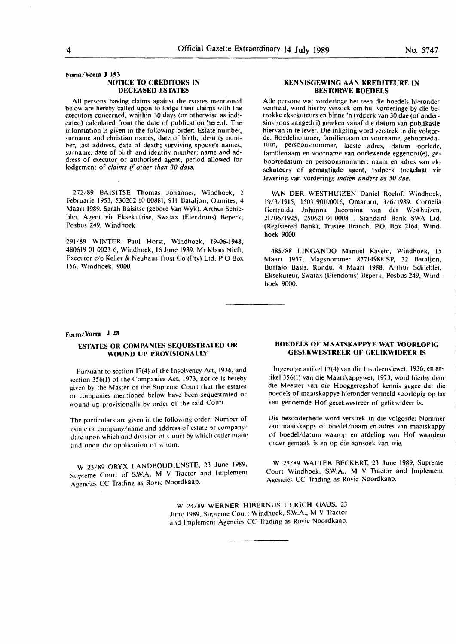#### **Form/Vorm J 193 NOTICE TO CREDITORS IN DECEASED ESTATES**

**All** persons having claims against the estates mentioned below are hereby called upon to lodge their claims with the executors concerned, whithin 30 days (or otherwise as indicated) calculated from the date of publication hereof. The information is given in the following order: Estate number, surname and christian names, date of birth, identity number, last address, date of death; surviving spouse's names, surname, date of birth and identity number; name and address of executor or authorised agent, period allowed for lodgement of *claims if other than 30 days.* 

272/89 BAISITSE Thomas Johannes, Windhoek, 2 Februarie 1953, 530202 IO 00881, 9ll Bataljon, Oamites, 4 Maart 1989. Sarah Baisitse (gebore Van Wyk). Arthur Schiebier, Agent vir Eksekutrise, Swatax (Eiendoms) Beperk, Posbus 249, Windhoek

291/89 WINTER Paul Horst, Windhoek, 19-06-1948, 480619 01 0023 6, Windhoek, **16** June 1989. Mr Klaus Nieft, Executor c/o Keller & Neuhaus Trust Co (Pty) Ltd. PO Box 156, Windhoek, 9000

# **KENNISGEWING AAN KREDITEURE IN BESTORWE BOEDELS**

Alie persone wat vorderinge het teen die boedels hieronder vermeld, word hierby versoek om hul vorderinge by die betrokke eksekuteurs en binne 'n tydperk van 30 dae (of andersins soos aangedui) gereken vanaf die datum van publikasie hiervan in te lewer. Die inligting word verstrek in die volgorde: Boedelnommer, familienaam en voorname, gehoortedatum, persoonsnommer, laaste adres, datum oorlede, familienaam en voorname van oorlewende eggenoot(e), geboortedatum en persoonsnommer; naam en adres van eksekuteurs of gemagtigde agent, tydperk toegelaat vir lewering van vorderings *indien anders as 30 doe.* 

VAN DER WESTHUIZEN Daniel Roelof, Windhoek, 19/3/1915, 1503190100016, Omaruru, 3/6/1989. Cornelia Gertruida Johanna Jacomina van der Westhuizen, 21/06/1925, 250621 01 0008 I. Standard Bank SWA Ltd. (Registered Bank), Trustee Branch, P.O. Box 2164, Windhoek 9000

485/88 LlNGANDO Manuel Kaveto, Windhoek, 15 Maart 1957, Magsnommer 87714988 SP, 32 Bataljon, Buffalo Basis, Rundu, 4 Maart 1988. Arthur Schiebler, Eksekuteur, Swatax (Eiendoms) Beperk, Posbus 249, Windhoek 9000.

# **Form/Vorm J 28**

# **ESTATES OR COMPANIES SEQUESTRATED OR WOUND UP PROVISIONALLY**

Pursuant to section 17(4) of the Insolvency Act, 1936, and section 356(1) of the Companies Act, 1973, notice is hereby given by the Master of the Supreme Court that the estates or companies mentioned below have been sequestrated or wound up provisionally by order of the said Court.

The particulars are given in the following order: Number of estate or company/name and address of estate or company/ date upon which and division of Court by which order made and upon the application of whom.

W 23/89 ORYX LANDBOUOIENSTE. 23 June 1989. Supreme Court of S.W.A. M V Tractor and Implement Agencies CC Trading as Rovic Noordkaap.

#### **BOEDELS OF MAATSKAPPYE WAT VOORLOPIG GESEKWESTREER OF GELIKWIDEER IS**

lngevolge artikel 17(4) van die lnsnlvensiewet, 1936, en artikel 356(1) van die Maatskappywel, 1973, word hierby deur die Meester van die Hooggeregshof kennis gegee dat die boedels of maatskappye hieronder vermeld voorlopig op las van genoemde Hof gesekwestreer of gelikwideer **is.** 

Die besonderhede word verstrek **in** die volgorde: Nommer van maatskappy of boedel/naam en adres van maatskappy of boedel/datum waarop en afdeling van Hof waardeur order gemaak is en op die aansoek van wie.

W 25/89 WALTER BECKERT, 23 June 1989, Supreme Court Windhoek, S.W.A., M V Tractor and Implement Agencies CC Trading as Rovic Noordkaap.

W 24/89 WERNER HIBERNUS ULRICH GAUS, 23 June 1989, Supreme Court Windhoek, S.W.A., M V Tractor and Implement Agencies CC Trading as Rovic Noordkaap.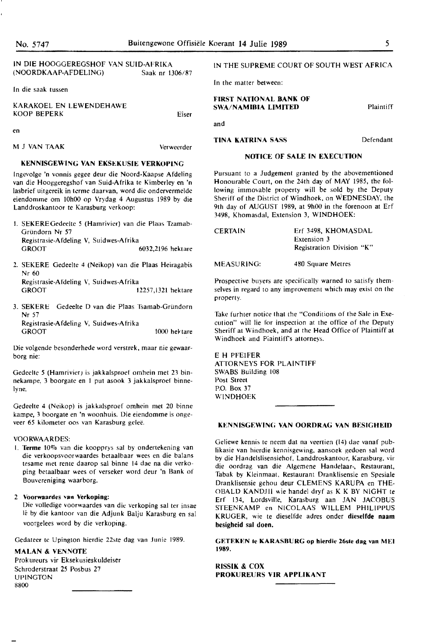# IN DIE HOOGGEREGSHOF **VAN SUID-AFRIKA (NOORDKAAP-AFDELING)** Saak nr **1306/87**

In die saak tussen

M J VAN TAAK

| KARAKOEL EN LEWENDEHAWE<br>KOOP BEPERK | Eiser |
|----------------------------------------|-------|
|                                        |       |

en

Verweerder

#### **KENNISGEWING VAN EKSEKUSIE VERKOPING**

lngevolge 'n vonnis gegee deur die Noord-Kaapse Afdeling van die Hooggeregshof van Suid-Afrika te Kimberley en 'n lasbrief uitgereik in terme daarvan, word die ondervermelde eiendomme om 10h00 op Vrydag 4 Augustus 1989 by die Landdroskantoor te Karasburg verkoop:

- I. SEKEREGedeelte *5* (Harnrivier) van die Plaas Tzamab-Gründorn Nr 57 Registrasie-Afdeling V, Suidwes-Afrika GROOT 6032,2196 hektare
- 2. SEKERE Gedeelte 4 (Neikop) van die Plaas Heiragabis Nr 60 Registrasie-Afdeling V, Suidwes-Afrika GROOT 12257,1321 hektare
- 3. SEKERE Gedeelte D van die Plaas Tsamab-Griindorn Nr 57 Registrasie-Afdeling V, Suidwes-Afrika 1000 hel tare

Die volgende besonderhede word verstrek, maar nie gewaarborg nie:

Gedeelte 5 (Hamrivier) is jakkalsproef omhein met 23 binnekampe, 3 boorgate en I put asook 3 jakkalsproef binnelyne.

Gedeelte 4 (Neikop) is jakkalsproef omhein met 20 binne kampe, 3 boorgate en 'n woonhuis. Die eiendomme is ongeveer 65 kilometer oos van Karasburg gelee.

#### **VOORWAARDES:**

1. Terme 10% van die koopprys sal by ondertekening van die verkoopsvoorwaardes betaalbaar wees en die balans tesame met rente daarop sal binne 14 dae na die verkoping betaalbaar wees of verseker word deur 'n Bank of Bouvereniging waarborg.

## 2 **Voorwaardes van Verkoping:**

Die volledige voorwaardes van die verkoping sal ter insae le by die kantoor van die Adjunk Balju Karasburg en sal voorgelees word by die verkoping.

Gedateer te Upington hierdie 22ste dag van Junie 1989.

#### **MALAN** & **VENNOfE**

Prokureurs vir Eksekusieskuldeiser Schroderstraat 25 Posbus 27 UPlNGTON 8800

# IN THE SUPREME COURT OF SOUTH WEST **AFRICA**

In the matter between:

**TINA KATRINA SASS** 

#### **FIRST NATIONAL BANK OF SWA/NAMIBIA LIMITED**

and

Defendant

#### **NOTICE OF SALE IN EXECUTION**

Pursuant to a Judgement granted by the abovementioned Honourable Court, on the 24th day of **MAY** 1985, the following immovable property will be sold by the Deputy Sheriff of the District of Windhoek, on WEDNESDAY, the 9th day of AUGUST 1989, at 9h00 in the forenoon at Erf 3498, Khomasdal, Extension 3, WINDHOEK:

| <b>CERTAIN</b> | Erf 3498, KHOMASDAL       |  |
|----------------|---------------------------|--|
|                | Extension 3               |  |
|                | Registration Division "K" |  |
| MEASURING:     | 480 Square Metres         |  |

Prospective buyers are specifically warned to satisfy themselves in regard to any improvement which may exist on the property.

Take furhter notice that the "Conditions of the Sale in Execution" will lie for inspection at the office of the Deputy Sheriff at Windhoek, and at the Head Office of Plaintiff at Windhoek and Piaintiff's attorneys.

#### EH PFEIFER

ATTORNEYS FOR PLAINTIFF SWABS Building 108 Post Street P.O. Box 37 WINDHOEK

#### **KENNISGEWING VAN OORDRAG VAN BESIGHEID**

Geliewe kennis te neem dat na veertien (14) dae vanaf publikasie van hierdie kennisgewing, aansoek gedoen sal word by die Handelslisensiehof, Landdroskantoor, Karasburg, vir die oordrag van die Algemene Handelaar-, Restaurant, Tabak by Kleinmaat, Restaurant Dranklisensie en Spesiale Dranklisensie gehou deur CLEMENS KARUPA en THE-OBALD KANDJII wie handel dryf as **K K** BY NIGHT le Erf 134, Lordsville, Karasburg aan JAN JACOBUS STEENKAMP en NICOLAAS WILLEM PHILIPPUS KRUGER, wie te dieselfde adres onder **dieselfde naam besigheid sal doen.** 

**GETEKEN le KARASBURG op hierdle 26sle dag van MEI 1989.** 

RISSIK & COX **PROKUREURS VIK APPLIKANT**  Plaintiff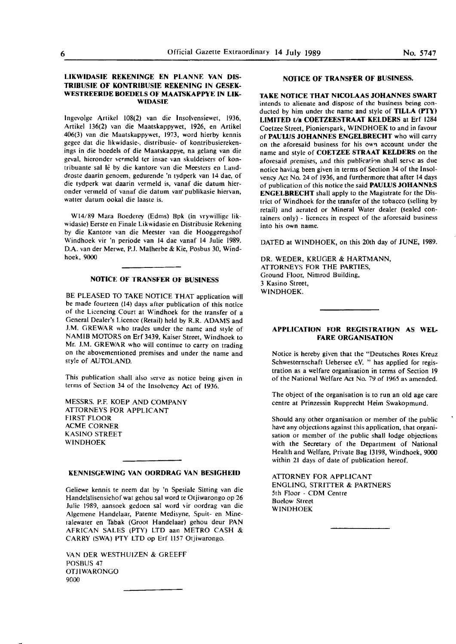# **LIKWIDASIE REKENINGE EN PLANNE VAN DIS-TRJBUSIE OF KONTRIBUSIE REKENING IN GESEK-**WESTREERDE BOEDELS OF MAATSKAPPYE IN LIK-**WIDASIE**

lngevolge Artikel l08(2) van die lnsolvensiewet, 1936, Artikel 136(2) van die Maatskappywet, 1926, en Artikel 406(3) van die Maatskappywet, 1973, word hierby kennis gegee dat die likwidasie-, distribusie- of kontribusierekenings in die boedels of die Maatskappye, na gelang van die geval, hieronder vermeld ter insae van skuldeisers of koncribuante sal le by die kantore van die Meesters en Lauddroste daarin genoem, gedurende 'n tydperk van 14 dae, of die tydperk wat daarin vermeld is, vanaf die datum hieronder vermeld of vanaf die datum van· publikasie hiervan, watter datum ookal die Iaaste is.

Wl4/89 Mara Boederey (Edms) Bpk (in vrywillige likwidasie) Eerste en Finale Likwidasie en Distribusie Rekening by die Kantore van die Meester van die Hooggeregshof Windhoek vir 'n periode van 14 dae vanaf 14 Julie 1989. D.A. van der Merwe, P.J. Malherbe & Kie, Posbus 30, Windhoek, **9000** 

#### **NOTICE OF TRANSFER OF BUSINESS**

BE PLEASED TO TAKE NOTICE THAT application will be made fourteen (14) days after publication of this notice of the Licencing Court at Windhoek for the transfer of a General Dealer's Licence (Retail) held by R.R. ADAMS and J.M. GREWAR who trades under the name and style of NAMIB MOTORS on Erf 3439, Kaiser Street, Windhoek to Mr. J.M. GREWAR who will continue to carry on trading on the abovementioned premises and under the name and style of AUTOLAND.

This publication shall also serve as notice being given in terms of Section 34 of the Insolvency Act of 1936.

MESSRS. P.F. KOEP AND COMPANY ATTORNEYS FOR APPLICANT FIRST FLOOR ACME CORNER KASINO STREET WINDHOEK

# **KENNISGEWING VAN OORDRAG VAN BESIGHEID**

Geliewe kennis te neem dat by 'n Spesiale Sitting van die Handelslisensiehof war gehou sal word te Otjiwarongo op 26 Julie ]989, aansoek gedoen sal word vir oordrag van die Algemene Handelaar, Parente Medisyne, Spuit- en Mineralewater en Tabak (Groot Handelaar) gehou deur PAN AFRICAN SALES (PTY) LTD aan METRO CASH & CARRY (SWA) PTY LTD op Erf 1157 Otjiwarongo.

VAN DER WESTHUIZEN & GREEFF POSBUS 47 OTJIWARONGO 9000

#### **NOTICE OF TRANSFER OF BUSINESS.**

**TAKE NOTICE THAT NJCOLAAS JOHANNES SWART**  intends to alienate and dispose of the business being conducted by him under the name **and** style of **TILLA (PTY) LIMITED t/a COETZEESTRAAT KELDERS** at Erf 1284 Coetzee Street, Pionierspark, WINDHOEK to and in favour of **PAUWS JOHANNES ENGELBRECHT** who **will** carry on the aforesaid business for his own account under the name and style of **COETZEE STRAAT KELDERS** on the aforesaid premises, and this publication shall serve as due notice having been given in terms of Section 34 of the Insolvency Act No. 24 of 1936, and furthermore that after 14 days of publication of this notice the said **PAUWS JOHANN:ES ENGELBRECHT** shall apply to the Magistrate for the District of Windhoek for the transfer of the tobacco (selling by retail) and aerated or Mineral Water dealer (sealed containers only) - licences in respect of the aforesaid business into his own name.

DATED at WINDHOEK, on this 20th day of JUNE, 1989.

DR. WEDER, KRUGER & **HARTMANN,**  ATTORNEYS FOR THE PARTIES, Ground Floor, Nimrod Building, 3 Kasino Street, WINDHOEK.

# **APPLICATION FOR REGISTRATION AS WEL-FARE ORGANISATION**

Notice is hereby given that the "Deutsches Rotes Kreuz Schwesternschaft Uebersee **e.V.** '' has applied for registration as a welfare organisation in terms of Section 19 of the National Welfare Act No. 79 of 1965 as amended.

The object of the organisation is to run an old age care centre at Prinzessin Rupprecht Heim Swakopmund.

Should any other organisation or member of the public have any objections against this application, that organisation or member of the public shall lodge objections with the Secretary of the Department of National Health and Welfare, Private Bag 13198, Windhoek, 9000 within 21 days of date of publication hereof.

ATIDRNEY FOR APPLICANT ENGLING, STRITTER & PARTNERS 5th Floor ~ COM Centre Buelow Street WINDHOEK